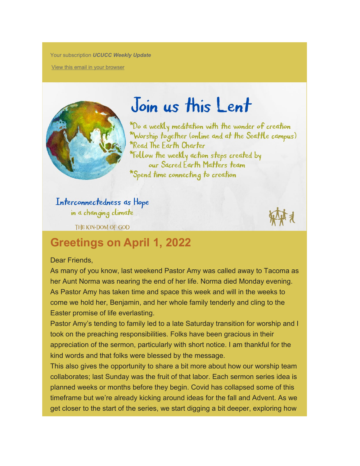Your subscription *UCUCC Weekly Update*

[View this email in your browser](https://mailchi.mp/universityucc/weekly-updates-for-university-congregational-ucc-1661896?e=c1dabc2008)



## Join us this Lent

\*Do a weekly meditation with the wonder of creation \*Worship together (online and at the Seattle campus) \*Read The Earth Charter \*Follow the weekly action steps created by our Sacred Earth Matters team \*Spend time connecting to creation

Interconnectedness as Hope in a changing climate

THE KIN-DOM OF GOD

## **Greetings on April 1, 2022**

## Dear Friends,

As many of you know, last weekend Pastor Amy was called away to Tacoma as her Aunt Norma was nearing the end of her life. Norma died Monday evening. As Pastor Amy has taken time and space this week and will in the weeks to come we hold her, Benjamin, and her whole family tenderly and cling to the Easter promise of life everlasting.

Pastor Amy's tending to family led to a late Saturday transition for worship and I took on the preaching responsibilities. Folks have been gracious in their appreciation of the sermon, particularly with short notice. I am thankful for the kind words and that folks were blessed by the message.

This also gives the opportunity to share a bit more about how our worship team collaborates; last Sunday was the fruit of that labor. Each sermon series idea is planned weeks or months before they begin. Covid has collapsed some of this timeframe but we're already kicking around ideas for the fall and Advent. As we get closer to the start of the series, we start digging a bit deeper, exploring how